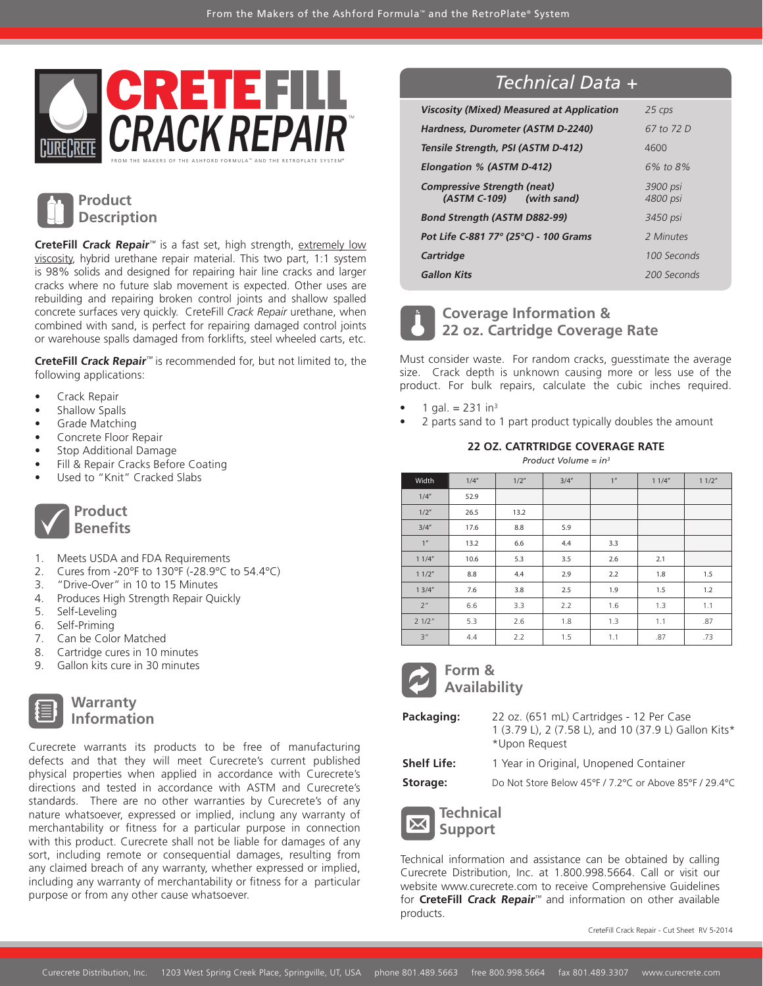



**CreteFill Crack Repair**™ is a fast set, high strength, extremely low viscosity, hybrid urethane repair material. This two part, 1:1 system is 98% solids and designed for repairing hair line cracks and larger cracks where no future slab movement is expected. Other uses are rebuilding and repairing broken control joints and shallow spalled concrete surfaces very quickly. CreteFill *Crack Repair* urethane, when combined with sand, is perfect for repairing damaged control joints or warehouse spalls damaged from forklifts, steel wheeled carts, etc.

**CreteFill Crack Repair**™ is recommended for, but not limited to, the following applications:

- • Crack Repair
- Shallow Spalls
- Grade Matching
- Concrete Floor Repair
- Stop Additional Damage
- Fill & Repair Cracks Before Coating
- Used to "Knit" Cracked Slabs



- 1. Meets USDA and FDA Requirements
- 2. Cures from -20°F to 130°F (-28.9°C to 54.4°C)
- 3. "Drive-Over" in 10 to 15 Minutes
- 4. Produces High Strength Repair Quickly
- 5. Self-Leveling
- 6. Self-Priming
- 7. Can be Color Matched
- 8. Cartridge cures in 10 minutes
- 9. Gallon kits cure in 30 minutes

**Warranty** *<u>Cormation</u>* 

Curecrete warrants its products to be free of manufacturing defects and that they will meet Curecrete's current published physical properties when applied in accordance with Curecrete's directions and tested in accordance with ASTM and Curecrete's standards. There are no other warranties by Curecrete's of any nature whatsoever, expressed or implied, inclung any warranty of merchantability or fitness for a particular purpose in connection with this product. Curecrete shall not be liable for damages of any sort, including remote or consequential damages, resulting from any claimed breach of any warranty, whether expressed or implied, including any warranty of merchantability or fitness for a particular purpose or from any other cause whatsoever.

## *Technical Data +*

| <b>Viscosity (Mixed) Measured at Application</b>               | 25 cps               |
|----------------------------------------------------------------|----------------------|
| Hardness, Durometer (ASTM D-2240)                              | 67 to 72 D           |
| Tensile Strength, PSI (ASTM D-412)                             | 4600                 |
| Elongation % (ASTM D-412)                                      | 6% to 8%             |
| <b>Compressive Strength (neat)</b><br>(ASTM C-109) (with sand) | 3900 psi<br>4800 psi |
| <b>Bond Strength (ASTM D882-99)</b>                            | 3450 psi             |
| Pot Life C-881 77° (25°C) - 100 Grams                          | 2 Minutes            |
| Cartridge                                                      | 100 Seconds          |
| <b>Gallon Kits</b>                                             | 200 Seconds          |

## **Coverage Information & 22 oz. Cartridge Coverage Rate**

Must consider waste. For random cracks, guesstimate the average size. Crack depth is unknown causing more or less use of the product. For bulk repairs, calculate the cubic inches required.

- 1 gal.  $= 231$  in<sup>3</sup>
- 2 parts sand to 1 part product typically doubles the amount

#### **22 OZ. CATRTRIDGE COVERAGE RATE**

*Product Volume = in3*

| Width           | 1/4'' | 1/2" | 3/4'' | 1 <sup>n</sup> | 11/4" | 11/2" |
|-----------------|-------|------|-------|----------------|-------|-------|
| 1/4"            | 52.9  |      |       |                |       |       |
| 1/2"            | 26.5  | 13.2 |       |                |       |       |
| 3/4''           | 17.6  | 8.8  | 5.9   |                |       |       |
| 1 <sup>n</sup>  | 13.2  | 6.6  | 4.4   | 3.3            |       |       |
| 11/4"           | 10.6  | 5.3  | 3.5   | 2.6            | 2.1   |       |
| 11/2"           | 8.8   | 4.4  | 2.9   | 2.2            | 1.8   | 1.5   |
| 13/4"           | 7.6   | 3.8  | 2.5   | 1.9            | 1.5   | 1.2   |
| 2 <sup>''</sup> | 6.6   | 3.3  | 2.2   | 1.6            | 1.3   | 1.1   |
| 21/2"           | 5.3   | 2.6  | 1.8   | 1.3            | 1.1   | .87   |
| 3"              | 4.4   | 2.2  | 1.5   | 1.1            | .87   | .73   |



## **Form & Availability**

**Packaging:** 22 oz. (651 mL) Cartridges - 12 Per Case 1 (3.79 L), 2 (7.58 L), and 10 (37.9 L) Gallon Kits\* \*Upon Request

**Shelf Life:** 1 Year in Original, Unopened Container **Storage:** Do Not Store Below 45°F / 7.2°C or Above 85°F / 29.4°C

**Technical Support** 

Technical information and assistance can be obtained by calling Curecrete Distribution, Inc. at 1.800.998.5664. Call or visit our website www.curecrete.com to receive Comprehensive Guidelines for **CreteFill Crack Repair**™ and information on other available products.

CreteFill Crack Repair - Cut Sheet RV 5-2014